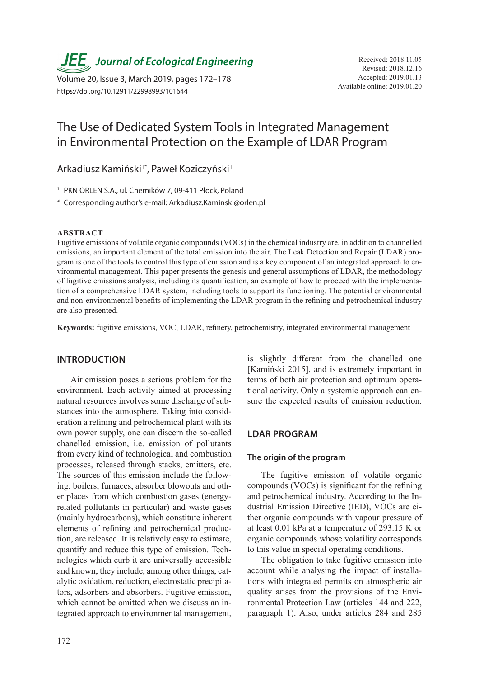**JEE**, Journal of Ecological Engineering Received: 2018.11.05

Available online: 2019.01.20 Volume 20, Issue 3, March 2019, pages 172–178 https://doi.org/10.12911/22998993/101644

# The Use of Dedicated System Tools in Integrated Management in Environmental Protection on the Example of LDAR Program

Arkadiusz Kamiński<sup>1\*</sup>, Paweł Koziczyński<sup>1</sup>

<sup>1</sup> PKN ORLEN S.A., ul. Chemików 7, 09-411 Płock, Poland

\* Corresponding author's e-mail: Arkadiusz.Kaminski@orlen.pl

#### **ABSTRACT**

Fugitive emissions of volatile organic compounds (VOCs) in the chemical industry are, in addition to channelled emissions, an important element of the total emission into the air. The Leak Detection and Repair (LDAR) program is one of the tools to control this type of emission and is a key component of an integrated approach to environmental management. This paper presents the genesis and general assumptions of LDAR, the methodology of fugitive emissions analysis, including its quantification, an example of how to proceed with the implementation of a comprehensive LDAR system, including tools to support its functioning. The potential environmental and non-environmental benefits of implementing the LDAR program in the refining and petrochemical industry are also presented.

**Keywords:** fugitive emissions, VOC, LDAR, refinery, petrochemistry, integrated environmental management

#### **INTRODUCTION**

Air emission poses a serious problem for the environment. Each activity aimed at processing natural resources involves some discharge of substances into the atmosphere. Taking into consideration a refining and petrochemical plant with its own power supply, one can discern the so-called chanelled emission, i.e. emission of pollutants from every kind of technological and combustion processes, released through stacks, emitters, etc. The sources of this emission include the following: boilers, furnaces, absorber blowouts and other places from which combustion gases (energyrelated pollutants in particular) and waste gases (mainly hydrocarbons), which constitute inherent elements of refining and petrochemical production, are released. It is relatively easy to estimate, quantify and reduce this type of emission. Technologies which curb it are universally accessible and known; they include, among other things, catalytic oxidation, reduction, electrostatic precipitators, adsorbers and absorbers. Fugitive emission, which cannot be omitted when we discuss an integrated approach to environmental management, is slightly different from the chanelled one [Kamiński 2015], and is extremely important in terms of both air protection and optimum operational activity. Only a systemic approach can ensure the expected results of emission reduction.

# **LDAR PROGRAM**

## **The origin of the program**

The fugitive emission of volatile organic compounds (VOCs) is significant for the refining and petrochemical industry. According to the Industrial Emission Directive (IED), VOCs are either organic compounds with vapour pressure of at least 0.01 kPa at a temperature of 293.15 K or organic compounds whose volatility corresponds to this value in special operating conditions.

The obligation to take fugitive emission into account while analysing the impact of installations with integrated permits on atmospheric air quality arises from the provisions of the Environmental Protection Law (articles 144 and 222, paragraph 1). Also, under articles 284 and 285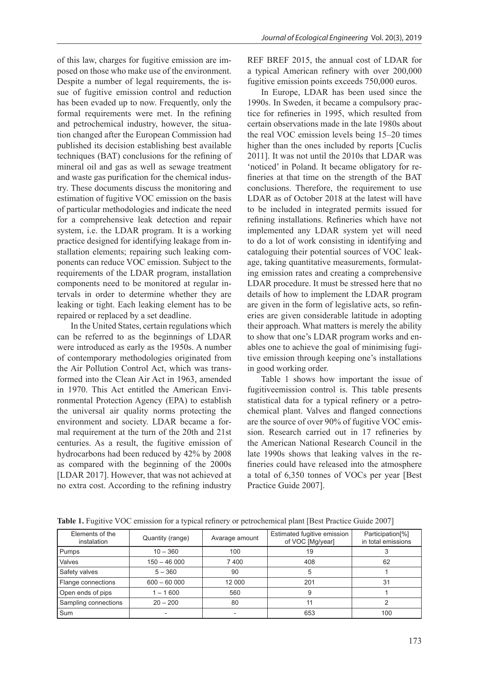of this law, charges for fugitive emission are imposed on those who make use of the environment. Despite a number of legal requirements, the issue of fugitive emission control and reduction has been evaded up to now. Frequently, only the formal requirements were met. In the refining and petrochemical industry, however, the situation changed after the European Commission had published its decision establishing best available techniques (BAT) conclusions for the refining of mineral oil and gas as well as sewage treatment and waste gas purification for the chemical industry. These documents discuss the monitoring and estimation of fugitive VOC emission on the basis of particular methodologies and indicate the need for a comprehensive leak detection and repair system, i.e. the LDAR program. It is a working practice designed for identifying leakage from installation elements; repairing such leaking components can reduce VOC emission. Subject to the requirements of the LDAR program, installation components need to be monitored at regular intervals in order to determine whether they are leaking or tight. Each leaking element has to be repaired or replaced by a set deadline.

In the United States, certain regulations which can be referred to as the beginnings of LDAR were introduced as early as the 1950s. A number of contemporary methodologies originated from the Air Pollution Control Act, which was transformed into the Clean Air Act in 1963, amended in 1970. This Act entitled the American Environmental Protection Agency (EPA) to establish the universal air quality norms protecting the environment and society. LDAR became a formal requirement at the turn of the 20th and 21st centuries. As a result, the fugitive emission of hydrocarbons had been reduced by 42% by 2008 as compared with the beginning of the 2000s [LDAR 2017]. However, that was not achieved at no extra cost. According to the refining industry

REF BREF 2015, the annual cost of LDAR for a typical American refinery with over 200,000 fugitive emission points exceeds 750,000 euros.

In Europe, LDAR has been used since the 1990s. In Sweden, it became a compulsory practice for refineries in 1995, which resulted from certain observations made in the late 1980s about the real VOC emission levels being 15–20 times higher than the ones included by reports [Cuclis 2011]. It was not until the 2010s that LDAR was 'noticed' in Poland. It became obligatory for refineries at that time on the strength of the BAT conclusions. Therefore, the requirement to use LDAR as of October 2018 at the latest will have to be included in integrated permits issued for refining installations. Refineries which have not implemented any LDAR system yet will need to do a lot of work consisting in identifying and cataloguing their potential sources of VOC leakage, taking quantitative measurements, formulating emission rates and creating a comprehensive LDAR procedure. It must be stressed here that no details of how to implement the LDAR program are given in the form of legislative acts, so refineries are given considerable latitude in adopting their approach. What matters is merely the ability to show that one's LDAR program works and enables one to achieve the goal of minimising fugitive emission through keeping one's installations in good working order.

Table 1 shows how important the issue of fugitiveemission control is. This table presents statistical data for a typical refinery or a petrochemical plant. Valves and flanged connections are the source of over 90% of fugitive VOC emission. Research carried out in 17 refineries by the American National Research Council in the late 1990s shows that leaking valves in the refineries could have released into the atmosphere a total of 6,350 tonnes of VOCs per year [Best Practice Guide 2007].

| Elements of the<br>instalation | Quantity (range) | Avarage amount | Estimated fugitive emission<br>of VOC [Mg/year] | Participation <sup>[%]</sup><br>in total emissions |
|--------------------------------|------------------|----------------|-------------------------------------------------|----------------------------------------------------|
| Pumps                          | $10 - 360$       | 100            | 19                                              |                                                    |
| Valves                         | $150 - 46000$    | 7400           | 408                                             | 62                                                 |
| Safety valves                  | $5 - 360$        | 90             | 5                                               |                                                    |
| Flange connections             | $600 - 60000$    | 12 000         | 201                                             | 31                                                 |
| Open ends of pips              | $1 - 1600$       | 560            | 9                                               |                                                    |
| Sampling connections           | $20 - 200$       | 80             | 11                                              |                                                    |
| Sum                            |                  |                | 653                                             | 100                                                |

**Table 1.** Fugitive VOC emission for a typical refinery or petrochemical plant [Best Practice Guide 2007]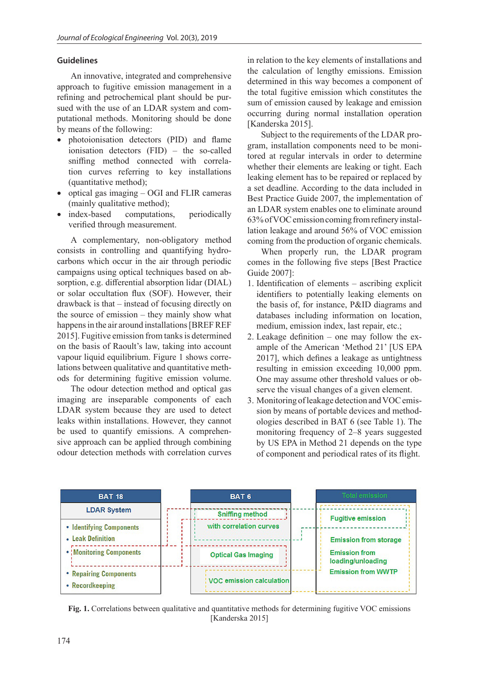## **Guidelines**

An innovative, integrated and comprehensive approach to fugitive emission management in a refining and petrochemical plant should be pursued with the use of an LDAR system and computational methods. Monitoring should be done by means of the following:

- photoionisation detectors (PID) and flame ionisation detectors (FID) – the so-called sniffing method connected with correlation curves referring to key installations (quantitative method);
- optical gas imaging OGI and FLIR cameras (mainly qualitative method);
- index-based computations, periodically verified through measurement.

A complementary, non-obligatory method consists in controlling and quantifying hydrocarbons which occur in the air through periodic campaigns using optical techniques based on absorption, e.g. differential absorption lidar (DIAL) or solar occultation flux (SOF). However, their drawback is that – instead of focusing directly on the source of emission – they mainly show what happens in the air around installations [BREF REF 2015]. Fugitive emission from tanks is determined on the basis of Raoult's law, taking into account vapour liquid equilibrium. Figure 1 shows correlations between qualitative and quantitative methods for determining fugitive emission volume.

The odour detection method and optical gas imaging are inseparable components of each LDAR system because they are used to detect leaks within installations. However, they cannot be used to quantify emissions. A comprehensive approach can be applied through combining odour detection methods with correlation curves

in relation to the key elements of installations and the calculation of lengthy emissions. Emission determined in this way becomes a component of the total fugitive emission which constitutes the sum of emission caused by leakage and emission occurring during normal installation operation [Kanderska 2015].

Subject to the requirements of the LDAR program, installation components need to be monitored at regular intervals in order to determine whether their elements are leaking or tight. Each leaking element has to be repaired or replaced by a set deadline. According to the data included in Best Practice Guide 2007, the implementation of an LDAR system enables one to eliminate around 63% of VOC emission coming from refinery installation leakage and around 56% of VOC emission coming from the production of organic chemicals.

When properly run, the LDAR program comes in the following five steps [Best Practice Guide 2007]:

- 1. Identification of elements ascribing explicit identifiers to potentially leaking elements on the basis of, for instance, P&ID diagrams and databases including information on location, medium, emission index, last repair, etc.;
- 2. Leakage definition one may follow the example of the American 'Method 21' [US EPA 2017], which defines a leakage as untightness resulting in emission exceeding 10,000 ppm. One may assume other threshold values or observe the visual changes of a given element.
- 3. Monitoring of leakage detection and VOC emission by means of portable devices and methodologies described in BAT 6 (see Table 1). The monitoring frequency of 2–8 years suggested by US EPA in Method 21 depends on the type of component and periodical rates of its flight.



**Fig. 1.** Correlations between qualitative and quantitative methods for determining fugitive VOC emissions [Kanderska 2015]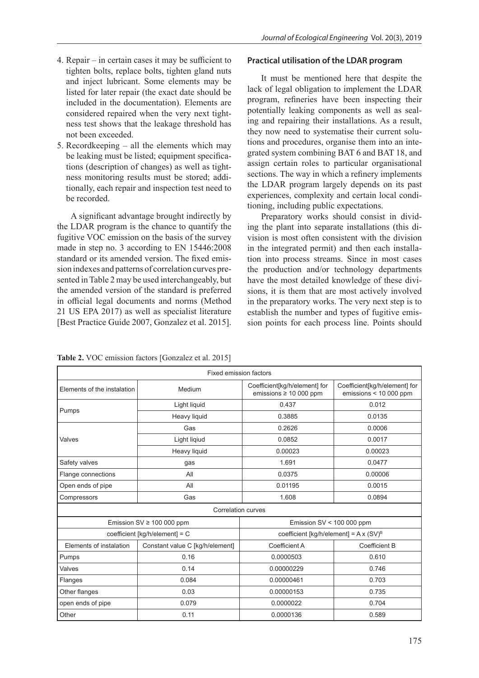- 4. Repair in certain cases it may be sufficient to tighten bolts, replace bolts, tighten gland nuts and inject lubricant. Some elements may be listed for later repair (the exact date should be included in the documentation). Elements are considered repaired when the very next tightness test shows that the leakage threshold has not been exceeded.
- 5. Recordkeeping all the elements which may be leaking must be listed; equipment specifications (description of changes) as well as tightness monitoring results must be stored; additionally, each repair and inspection test need to be recorded.

A significant advantage brought indirectly by the LDAR program is the chance to quantify the fugitive VOC emission on the basis of the survey made in step no. 3 according to EN 15446:2008 standard or its amended version. The fixed emission indexes and patterns of correlation curves presented in Table 2 may be used interchangeably, but the amended version of the standard is preferred in official legal documents and norms (Method 21 US EPA 2017) as well as specialist literature [Best Practice Guide 2007, Gonzalez et al. 2015].

# **Practical utilisation of the LDAR program**

It must be mentioned here that despite the lack of legal obligation to implement the LDAR program, refineries have been inspecting their potentially leaking components as well as sealing and repairing their installations. As a result, they now need to systematise their current solutions and procedures, organise them into an integrated system combining BAT 6 and BAT 18, and assign certain roles to particular organisational sections. The way in which a refinery implements the LDAR program largely depends on its past experiences, complexity and certain local conditioning, including public expectations.

Preparatory works should consist in dividing the plant into separate installations (this division is most often consistent with the division in the integrated permit) and then each installation into process streams. Since in most cases the production and/or technology departments have the most detailed knowledge of these divisions, it is them that are most actively involved in the preparatory works. The very next step is to establish the number and types of fugitive emission points for each process line. Points should

**Table 2.** VOC emission factors [Gonzalez et al. 2015]

| Fixed emission factors      |                                 |                                                             |                                                           |  |  |  |
|-----------------------------|---------------------------------|-------------------------------------------------------------|-----------------------------------------------------------|--|--|--|
| Elements of the instalation | Medium                          | Coefficient[kg/h/element] for<br>emissions $\geq 10000$ ppm | Coefficient[kg/h/element] for<br>emissions $<$ 10 000 ppm |  |  |  |
| Pumps                       | Light liquid                    | 0.437                                                       | 0.012                                                     |  |  |  |
|                             | Heavy liquid                    | 0.3885                                                      | 0.0135                                                    |  |  |  |
| Valves                      | Gas                             | 0.2626                                                      | 0.0006                                                    |  |  |  |
|                             | Light ligiud                    | 0.0852                                                      | 0.0017                                                    |  |  |  |
|                             | Heavy liquid                    | 0.00023                                                     | 0.00023                                                   |  |  |  |
| Safety valves               | gas                             | 1.691                                                       | 0.0477                                                    |  |  |  |
| Flange connections          | All                             | 0.0375                                                      | 0.00006                                                   |  |  |  |
| Open ends of pipe           | All                             | 0.01195                                                     | 0.0015                                                    |  |  |  |
| Compressors                 | Gas                             | 1.608                                                       | 0.0894                                                    |  |  |  |
| <b>Correlation curves</b>   |                                 |                                                             |                                                           |  |  |  |
|                             | Emission SV $\geq$ 100 000 ppm  | Emission $SV < 100 000$ ppm                                 |                                                           |  |  |  |
|                             | coefficient [kg/h/element] = C  | coefficient [kg/h/element] = $A x (SV)^B$                   |                                                           |  |  |  |
| Elements of instalation     | Constant value C [kg/h/element] | Coefficient A                                               | Coefficient B                                             |  |  |  |
| Pumps                       | 0.16                            | 0.0000503                                                   | 0.610                                                     |  |  |  |
| Valves                      | 0.14                            | 0.00000229                                                  | 0.746                                                     |  |  |  |
| Flanges                     | 0.084                           | 0.00000461                                                  | 0.703                                                     |  |  |  |
| Other flanges               | 0.03                            | 0.00000153                                                  | 0.735                                                     |  |  |  |
| open ends of pipe           | 0.079                           | 0.0000022                                                   | 0.704                                                     |  |  |  |
| Other                       | 0.11                            | 0.0000136                                                   | 0.589                                                     |  |  |  |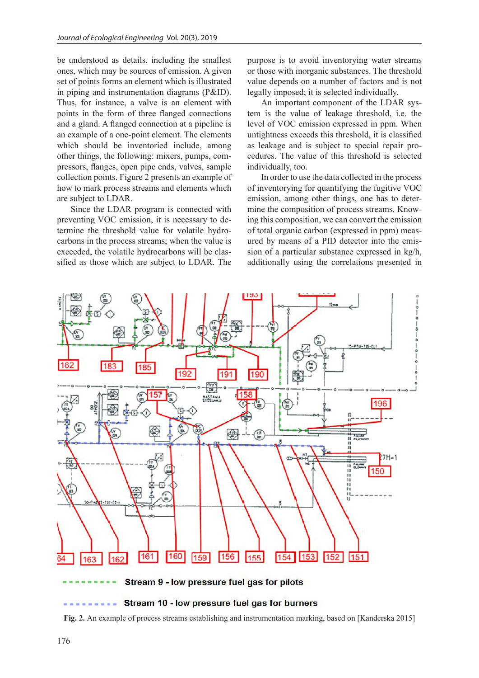be understood as details, including the smallest ones, which may be sources of emission. A given set of points forms an element which is illustrated in piping and instrumentation diagrams (P&ID). Thus, for instance, a valve is an element with points in the form of three flanged connections and a gland. A flanged connection at a pipeline is an example of a one-point element. The elements which should be inventoried include, among other things, the following: mixers, pumps, compressors, flanges, open pipe ends, valves, sample collection points. Figure 2 presents an example of how to mark process streams and elements which are subject to LDAR.

Since the LDAR program is connected with preventing VOC emission, it is necessary to determine the threshold value for volatile hydrocarbons in the process streams; when the value is exceeded, the volatile hydrocarbons will be classified as those which are subject to LDAR. The

purpose is to avoid inventorying water streams or those with inorganic substances. The threshold value depends on a number of factors and is not legally imposed; it is selected individually.

An important component of the LDAR system is the value of leakage threshold, i.e. the level of VOC emission expressed in ppm. When untightness exceeds this threshold, it is classified as leakage and is subject to special repair procedures. The value of this threshold is selected individually, too.

In order to use the data collected in the process of inventorying for quantifying the fugitive VOC emission, among other things, one has to determine the composition of process streams. Knowing this composition, we can convert the emission of total organic carbon (expressed in ppm) measured by means of a PID detector into the emission of a particular substance expressed in kg/h, additionally using the correlations presented in



Stream 9 - low pressure fuel gas for pilots

#### Stream 10 - low pressure fuel gas for burners

**Fig. 2.** An example of process streams establishing and instrumentation marking, based on [Kanderska 2015]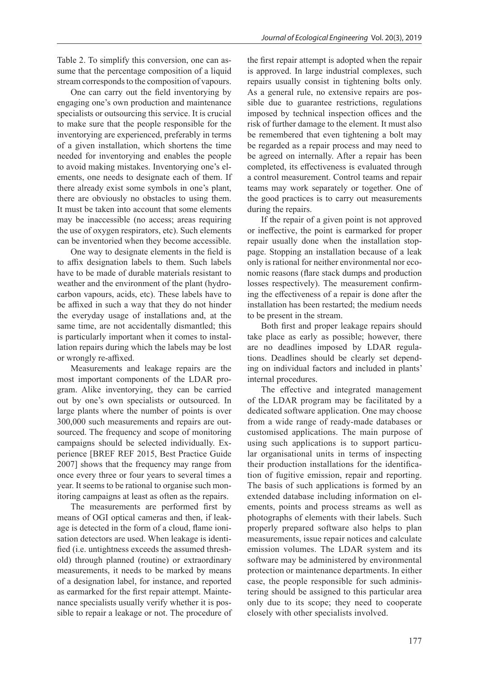Table 2. To simplify this conversion, one can assume that the percentage composition of a liquid stream corresponds to the composition of vapours.

One can carry out the field inventorying by engaging one's own production and maintenance specialists or outsourcing this service. It is crucial to make sure that the people responsible for the inventorying are experienced, preferably in terms of a given installation, which shortens the time needed for inventorying and enables the people to avoid making mistakes. Inventorying one's elements, one needs to designate each of them. If there already exist some symbols in one's plant, there are obviously no obstacles to using them. It must be taken into account that some elements may be inaccessible (no access; areas requiring the use of oxygen respirators, etc). Such elements can be inventoried when they become accessible.

One way to designate elements in the field is to affix designation labels to them. Such labels have to be made of durable materials resistant to weather and the environment of the plant (hydrocarbon vapours, acids, etc). These labels have to be affixed in such a way that they do not hinder the everyday usage of installations and, at the same time, are not accidentally dismantled; this is particularly important when it comes to installation repairs during which the labels may be lost or wrongly re-affixed.

Measurements and leakage repairs are the most important components of the LDAR program. Alike inventorying, they can be carried out by one's own specialists or outsourced. In large plants where the number of points is over 300,000 such measurements and repairs are outsourced. The frequency and scope of monitoring campaigns should be selected individually. Experience [BREF REF 2015, Best Practice Guide 2007] shows that the frequency may range from once every three or four years to several times a year. It seems to be rational to organise such monitoring campaigns at least as often as the repairs.

The measurements are performed first by means of OGI optical cameras and then, if leakage is detected in the form of a cloud, flame ionisation detectors are used. When leakage is identified (i.e. untightness exceeds the assumed threshold) through planned (routine) or extraordinary measurements, it needs to be marked by means of a designation label, for instance, and reported as earmarked for the first repair attempt. Maintenance specialists usually verify whether it is possible to repair a leakage or not. The procedure of the first repair attempt is adopted when the repair is approved. In large industrial complexes, such repairs usually consist in tightening bolts only. As a general rule, no extensive repairs are possible due to guarantee restrictions, regulations imposed by technical inspection offices and the risk of further damage to the element. It must also be remembered that even tightening a bolt may be regarded as a repair process and may need to be agreed on internally. After a repair has been completed, its effectiveness is evaluated through a control measurement. Control teams and repair teams may work separately or together. One of the good practices is to carry out measurements during the repairs.

If the repair of a given point is not approved or ineffective, the point is earmarked for proper repair usually done when the installation stoppage. Stopping an installation because of a leak only is rational for neither environmental nor economic reasons (flare stack dumps and production losses respectively). The measurement confirming the effectiveness of a repair is done after the installation has been restarted; the medium needs to be present in the stream.

Both first and proper leakage repairs should take place as early as possible; however, there are no deadlines imposed by LDAR regulations. Deadlines should be clearly set depending on individual factors and included in plants' internal procedures.

The effective and integrated management of the LDAR program may be facilitated by a dedicated software application. One may choose from a wide range of ready-made databases or customised applications. The main purpose of using such applications is to support particular organisational units in terms of inspecting their production installations for the identification of fugitive emission, repair and reporting. The basis of such applications is formed by an extended database including information on elements, points and process streams as well as photographs of elements with their labels. Such properly prepared software also helps to plan measurements, issue repair notices and calculate emission volumes. The LDAR system and its software may be administered by environmental protection or maintenance departments. In either case, the people responsible for such administering should be assigned to this particular area only due to its scope; they need to cooperate closely with other specialists involved.